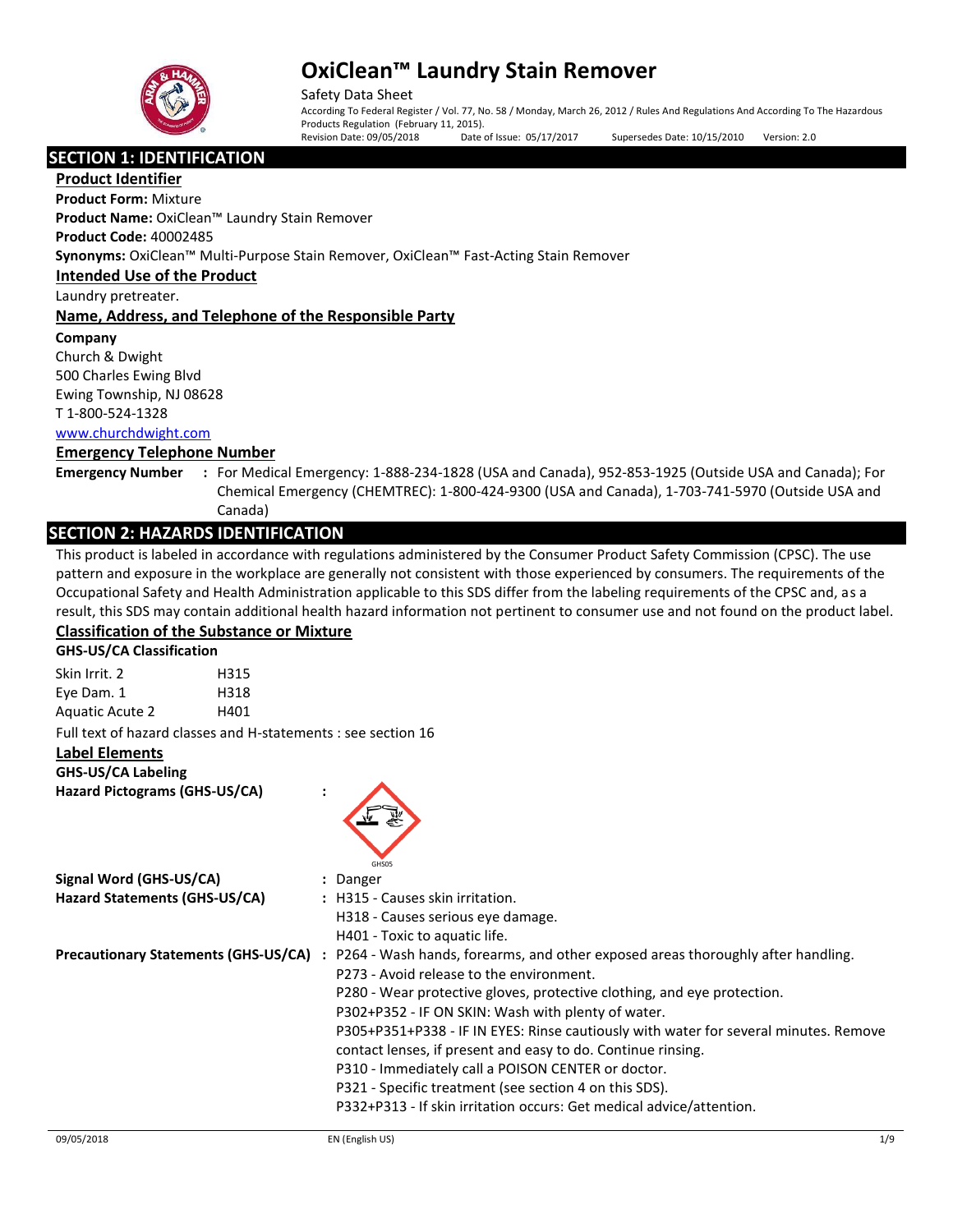

Safety Data Sheet According To Federal Register / Vol. 77, No. 58 / Monday, March 26, 2012 / Rules And Regulations And According To The Hazardous Products Regulation (February 11, 2015).

Revision Date: 09/05/2018 Date of Issue: 05/17/2017 Supersedes Date: 10/15/2010 Version: 2.0

**SECTION 1: IDENTIFICATION** 

**Product Identifier**

**Product Form:** Mixture

**Product Name:** OxiClean™ Laundry Stain Remover

**Product Code:** 40002485

**Synonyms:** OxiClean™ Multi-Purpose Stain Remover, OxiClean™ Fast-Acting Stain Remover

**Intended Use of the Product**

Laundry pretreater.

**Name, Address, and Telephone of the Responsible Party**

**Company** 

Church & Dwight 500 Charles Ewing Blvd Ewing Township, NJ 08628

T 1-800-524-1328

[www.churchdwight.com](http://www.churchdwight.com/)

## **Emergency Telephone Number**

**Emergency Number :** For Medical Emergency: 1-888-234-1828 (USA and Canada), 952-853-1925 (Outside USA and Canada); For Chemical Emergency (CHEMTREC): 1-800-424-9300 (USA and Canada), 1-703-741-5970 (Outside USA and Canada)

## **SECTION 2: HAZARDS IDENTIFICATION**

This product is labeled in accordance with regulations administered by the Consumer Product Safety Commission (CPSC). The use pattern and exposure in the workplace are generally not consistent with those experienced by consumers. The requirements of the Occupational Safety and Health Administration applicable to this SDS differ from the labeling requirements of the CPSC and, as a result, this SDS may contain additional health hazard information not pertinent to consumer use and not found on the product label.

## **Classification of the Substance or Mixture**

**GHS-US/CA Classification**

Skin Irrit. 2 H315 Eye Dam. 1 H318 Aquatic Acute 2 H401 Full text of hazard classes and H-statements : see section 16

**Label Elements**

**GHS-US/CA Labeling**

**Hazard Pictograms (GHS-US/CA) :**



| Signal Word (GHS-US/CA)                     | : Danger                                                                             |
|---------------------------------------------|--------------------------------------------------------------------------------------|
| Hazard Statements (GHS-US/CA)               | : H315 - Causes skin irritation.                                                     |
|                                             | H318 - Causes serious eye damage.                                                    |
|                                             | H401 - Toxic to aquatic life.                                                        |
| <b>Precautionary Statements (GHS-US/CA)</b> | : P264 - Wash hands, forearms, and other exposed areas thoroughly after handling.    |
|                                             | P273 - Avoid release to the environment.                                             |
|                                             | P280 - Wear protective gloves, protective clothing, and eye protection.              |
|                                             | P302+P352 - IF ON SKIN: Wash with plenty of water.                                   |
|                                             | P305+P351+P338 - IF IN EYES: Rinse cautiously with water for several minutes. Remove |
|                                             | contact lenses, if present and easy to do. Continue rinsing.                         |
|                                             | P310 - Immediately call a POISON CENTER or doctor.                                   |
|                                             | P321 - Specific treatment (see section 4 on this SDS).                               |
|                                             | P332+P313 - If skin irritation occurs: Get medical advice/attention.                 |
|                                             |                                                                                      |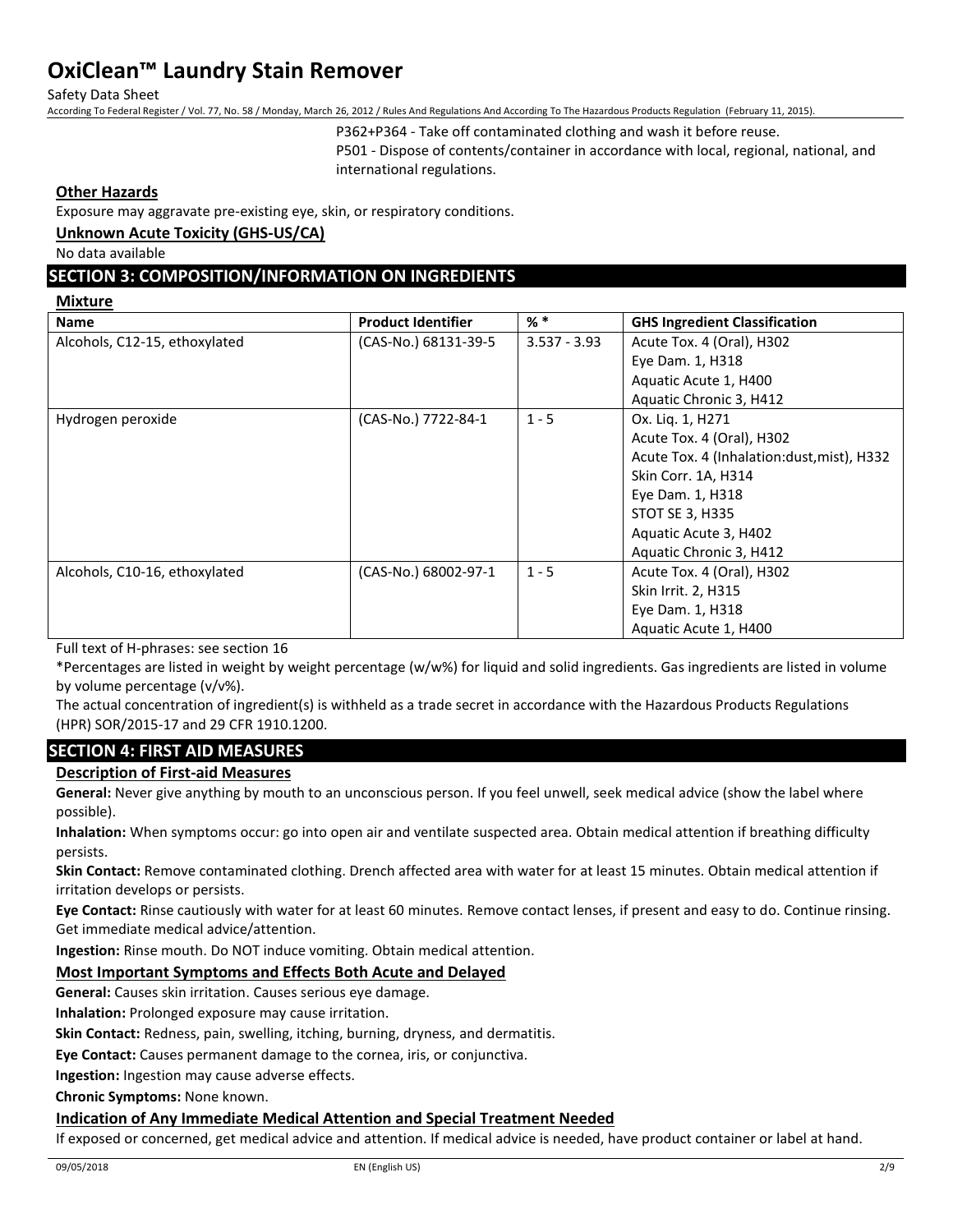Safety Data Sheet

According To Federal Register / Vol. 77, No. 58 / Monday, March 26, 2012 / Rules And Regulations And According To The Hazardous Products Regulation (February 11, 2015).

P362+P364 - Take off contaminated clothing and wash it before reuse.

P501 - Dispose of contents/container in accordance with local, regional, national, and international regulations.

#### **Other Hazards**

Exposure may aggravate pre-existing eye, skin, or respiratory conditions.

#### **Unknown Acute Toxicity (GHS-US/CA)**

No data available

## **SECTION 3: COMPOSITION/INFORMATION ON INGREDIENTS**

#### **Mixture**

| <b>Product Identifier</b> | % *            | <b>GHS Ingredient Classification</b>        |
|---------------------------|----------------|---------------------------------------------|
| (CAS-No.) 68131-39-5      | $3.537 - 3.93$ | Acute Tox. 4 (Oral), H302                   |
|                           |                | Eye Dam. 1, H318                            |
|                           |                | Aquatic Acute 1, H400                       |
|                           |                | Aquatic Chronic 3, H412                     |
| (CAS-No.) 7722-84-1       | $1 - 5$        | Ox. Liq. 1, H271                            |
|                           |                | Acute Tox. 4 (Oral), H302                   |
|                           |                | Acute Tox. 4 (Inhalation: dust, mist), H332 |
|                           |                | Skin Corr. 1A, H314                         |
|                           |                | Eye Dam. 1, H318                            |
|                           |                | STOT SE 3, H335                             |
|                           |                | Aquatic Acute 3, H402                       |
|                           |                | Aquatic Chronic 3, H412                     |
| (CAS-No.) 68002-97-1      | $1 - 5$        | Acute Tox. 4 (Oral), H302                   |
|                           |                | Skin Irrit. 2, H315                         |
|                           |                | Eye Dam. 1, H318                            |
|                           |                | Aquatic Acute 1, H400                       |
|                           |                |                                             |

Full text of H-phrases: see section 16

\*Percentages are listed in weight by weight percentage (w/w%) for liquid and solid ingredients. Gas ingredients are listed in volume by volume percentage (v/v%).

The actual concentration of ingredient(s) is withheld as a trade secret in accordance with the Hazardous Products Regulations (HPR) SOR/2015-17 and 29 CFR 1910.1200.

### **SECTION 4: FIRST AID MEASURES**

### **Description of First-aid Measures**

**General:** Never give anything by mouth to an unconscious person. If you feel unwell, seek medical advice (show the label where possible).

**Inhalation:** When symptoms occur: go into open air and ventilate suspected area. Obtain medical attention if breathing difficulty persists.

**Skin Contact:** Remove contaminated clothing. Drench affected area with water for at least 15 minutes. Obtain medical attention if irritation develops or persists.

**Eye Contact:** Rinse cautiously with water for at least 60 minutes. Remove contact lenses, if present and easy to do. Continue rinsing. Get immediate medical advice/attention.

**Ingestion:** Rinse mouth. Do NOT induce vomiting. Obtain medical attention.

### **Most Important Symptoms and Effects Both Acute and Delayed**

**General:** Causes skin irritation. Causes serious eye damage.

**Inhalation:** Prolonged exposure may cause irritation.

**Skin Contact:** Redness, pain, swelling, itching, burning, dryness, and dermatitis.

**Eye Contact:** Causes permanent damage to the cornea, iris, or conjunctiva.

**Ingestion:** Ingestion may cause adverse effects.

**Chronic Symptoms:** None known.

### **Indication of Any Immediate Medical Attention and Special Treatment Needed**

If exposed or concerned, get medical advice and attention. If medical advice is needed, have product container or label at hand.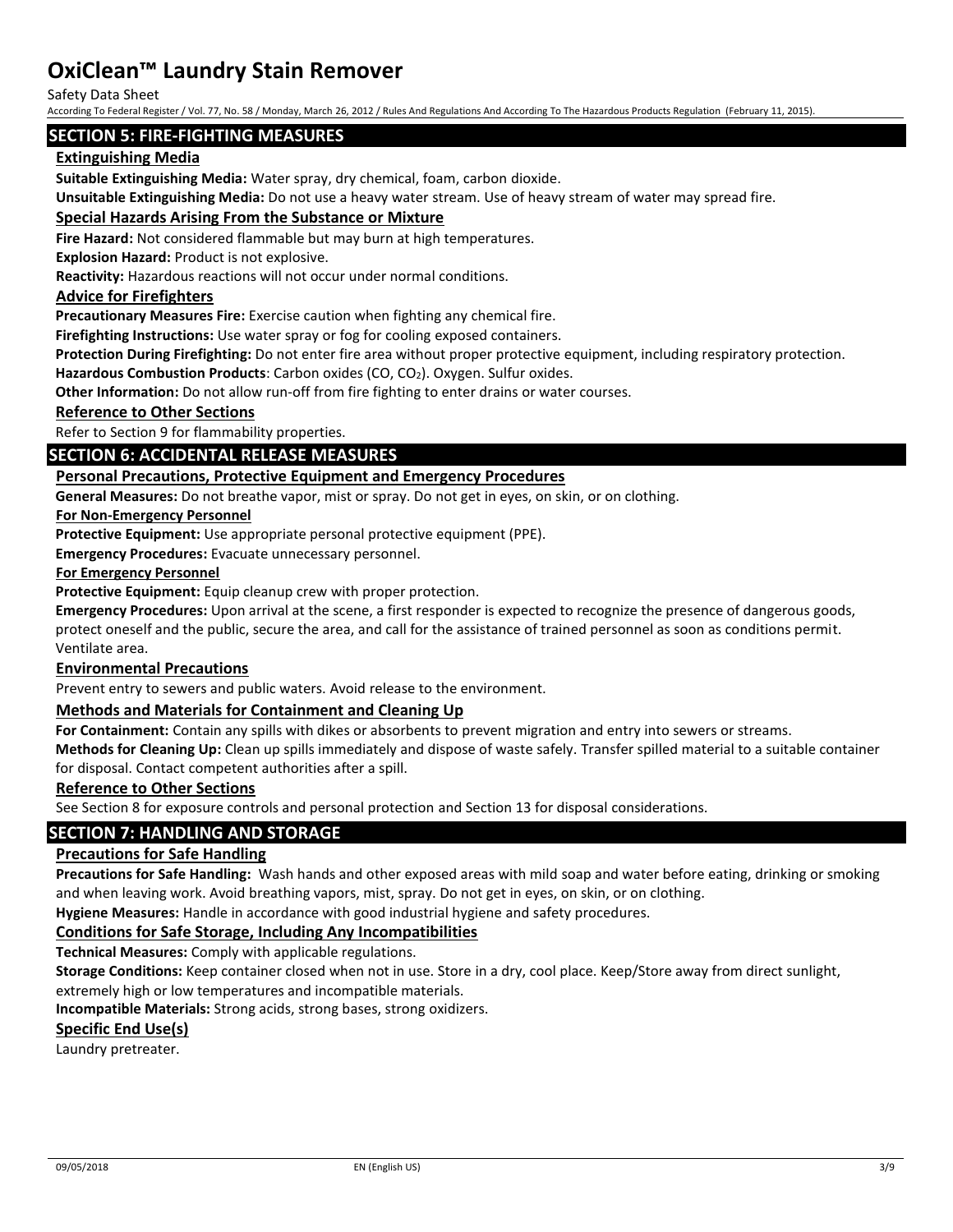Safety Data Sheet

According To Federal Register / Vol. 77, No. 58 / Monday, March 26, 2012 / Rules And Regulations And According To The Hazardous Products Regulation (February 11, 2015).

### **SECTION 5: FIRE-FIGHTING MEASURES**

### **Extinguishing Media**

**Suitable Extinguishing Media:** Water spray, dry chemical, foam, carbon dioxide.

**Unsuitable Extinguishing Media:** Do not use a heavy water stream. Use of heavy stream of water may spread fire.

#### **Special Hazards Arising From the Substance or Mixture**

**Fire Hazard:** Not considered flammable but may burn at high temperatures.

**Explosion Hazard:** Product is not explosive.

**Reactivity:** Hazardous reactions will not occur under normal conditions.

#### **Advice for Firefighters**

**Precautionary Measures Fire:** Exercise caution when fighting any chemical fire.

**Firefighting Instructions:** Use water spray or fog for cooling exposed containers.

**Protection During Firefighting:** Do not enter fire area without proper protective equipment, including respiratory protection.

**Hazardous Combustion Products**: Carbon oxides (CO, CO2). Oxygen. Sulfur oxides.

**Other Information:** Do not allow run-off from fire fighting to enter drains or water courses.

#### **Reference to Other Sections**

Refer to Section 9 for flammability properties.

#### **SECTION 6: ACCIDENTAL RELEASE MEASURES**

#### **Personal Precautions, Protective Equipment and Emergency Procedures**

**General Measures:** Do not breathe vapor, mist or spray. Do not get in eyes, on skin, or on clothing.

#### **For Non-Emergency Personnel**

**Protective Equipment:** Use appropriate personal protective equipment (PPE).

**Emergency Procedures:** Evacuate unnecessary personnel.

#### **For Emergency Personnel**

**Protective Equipment:** Equip cleanup crew with proper protection.

**Emergency Procedures:** Upon arrival at the scene, a first responder is expected to recognize the presence of dangerous goods, protect oneself and the public, secure the area, and call for the assistance of trained personnel as soon as conditions permit. Ventilate area.

#### **Environmental Precautions**

Prevent entry to sewers and public waters. Avoid release to the environment.

#### **Methods and Materials for Containment and Cleaning Up**

**For Containment:** Contain any spills with dikes or absorbents to prevent migration and entry into sewers or streams.

**Methods for Cleaning Up:** Clean up spills immediately and dispose of waste safely. Transfer spilled material to a suitable container for disposal. Contact competent authorities after a spill.

#### **Reference to Other Sections**

See Section 8 for exposure controls and personal protection and Section 13 for disposal considerations.

## **SECTION 7: HANDLING AND STORAGE**

#### **Precautions for Safe Handling**

**Precautions for Safe Handling:** Wash hands and other exposed areas with mild soap and water before eating, drinking or smoking and when leaving work. Avoid breathing vapors, mist, spray. Do not get in eyes, on skin, or on clothing.

**Hygiene Measures:** Handle in accordance with good industrial hygiene and safety procedures.

#### **Conditions for Safe Storage, Including Any Incompatibilities**

**Technical Measures:** Comply with applicable regulations.

**Storage Conditions:** Keep container closed when not in use. Store in a dry, cool place. Keep/Store away from direct sunlight,

extremely high or low temperatures and incompatible materials.

**Incompatible Materials:** Strong acids, strong bases, strong oxidizers.

### **Specific End Use(s)**

Laundry pretreater.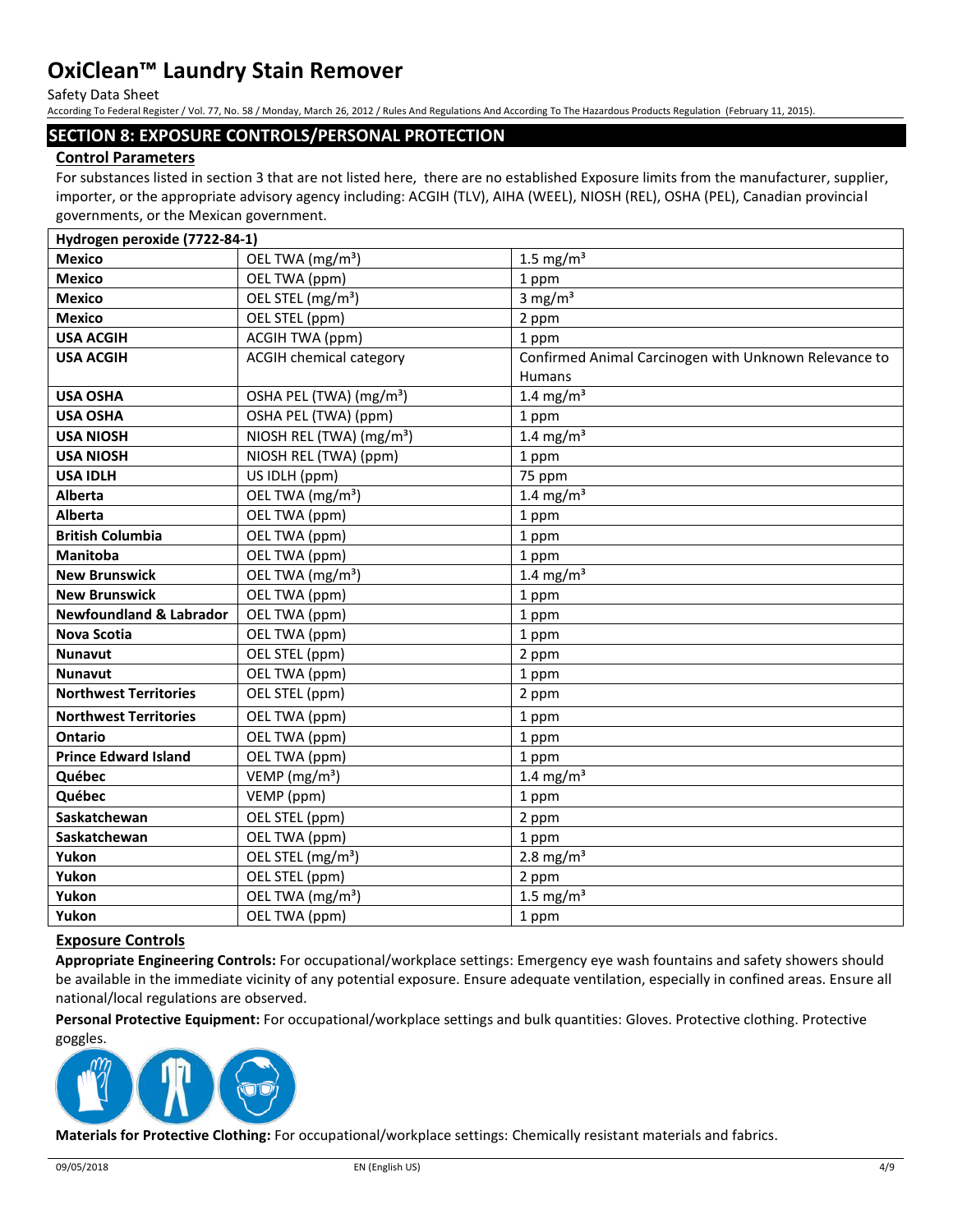Safety Data Sheet

According To Federal Register / Vol. 77, No. 58 / Monday, March 26, 2012 / Rules And Regulations And According To The Hazardous Products Regulation (February 11, 2015).

### **SECTION 8: EXPOSURE CONTROLS/PERSONAL PROTECTION**

### **Control Parameters**

For substances listed in section 3 that are not listed here, there are no established Exposure limits from the manufacturer, supplier, importer, or the appropriate advisory agency including: ACGIH (TLV), AIHA (WEEL), NIOSH (REL), OSHA (PEL), Canadian provincial governments, or the Mexican government.

| Hydrogen peroxide (7722-84-1)      |                                      |                                                       |
|------------------------------------|--------------------------------------|-------------------------------------------------------|
| <b>Mexico</b>                      | OEL TWA (mg/m <sup>3</sup> )         | 1.5 mg/m <sup>3</sup>                                 |
| <b>Mexico</b>                      | OEL TWA (ppm)                        | 1 ppm                                                 |
| <b>Mexico</b>                      | OEL STEL (mg/m <sup>3</sup> )        | 3 mg/ $m3$                                            |
| <b>Mexico</b>                      | OEL STEL (ppm)                       | 2 ppm                                                 |
| <b>USA ACGIH</b>                   | ACGIH TWA (ppm)                      | 1 ppm                                                 |
| <b>USA ACGIH</b>                   | <b>ACGIH chemical category</b>       | Confirmed Animal Carcinogen with Unknown Relevance to |
|                                    |                                      | <b>Humans</b>                                         |
| <b>USA OSHA</b>                    | OSHA PEL (TWA) (mg/m <sup>3</sup> )  | 1.4 mg/m $3$                                          |
| <b>USA OSHA</b>                    | OSHA PEL (TWA) (ppm)                 | 1 ppm                                                 |
| <b>USA NIOSH</b>                   | NIOSH REL (TWA) (mg/m <sup>3</sup> ) | 1.4 mg/m <sup>3</sup>                                 |
| <b>USA NIOSH</b>                   | NIOSH REL (TWA) (ppm)                | 1 ppm                                                 |
| <b>USA IDLH</b>                    | US IDLH (ppm)                        | 75 ppm                                                |
| Alberta                            | OEL TWA (mg/m <sup>3</sup> )         | 1.4 mg/m $3$                                          |
| Alberta                            | OEL TWA (ppm)                        | 1 ppm                                                 |
| <b>British Columbia</b>            | OEL TWA (ppm)                        | 1 ppm                                                 |
| <b>Manitoba</b>                    | OEL TWA (ppm)                        | 1 ppm                                                 |
| <b>New Brunswick</b>               | OEL TWA (mg/m <sup>3</sup> )         | 1.4 mg/m <sup>3</sup>                                 |
| <b>New Brunswick</b>               | OEL TWA (ppm)                        | 1 ppm                                                 |
| <b>Newfoundland &amp; Labrador</b> | OEL TWA (ppm)                        | 1 ppm                                                 |
| <b>Nova Scotia</b>                 | OEL TWA (ppm)                        | 1 ppm                                                 |
| <b>Nunavut</b>                     | OEL STEL (ppm)                       | 2 ppm                                                 |
| <b>Nunavut</b>                     | OEL TWA (ppm)                        | 1 ppm                                                 |
| <b>Northwest Territories</b>       | OEL STEL (ppm)                       | 2 ppm                                                 |
| <b>Northwest Territories</b>       | OEL TWA (ppm)                        | 1 ppm                                                 |
| Ontario                            | OEL TWA (ppm)                        | 1 ppm                                                 |
| <b>Prince Edward Island</b>        | OEL TWA (ppm)                        | 1 ppm                                                 |
| Québec                             | VEMP ( $mg/m3$ )                     | 1.4 mg/m <sup>3</sup>                                 |
| Québec                             | VEMP (ppm)                           | 1 ppm                                                 |
| Saskatchewan                       | OEL STEL (ppm)                       | 2 ppm                                                 |
| Saskatchewan                       | OEL TWA (ppm)                        | 1 ppm                                                 |
| Yukon                              | OEL STEL (mg/m <sup>3</sup> )        | 2.8 mg/ $m3$                                          |
| Yukon                              | OEL STEL (ppm)                       | 2 ppm                                                 |
| Yukon                              | OEL TWA (mg/m <sup>3</sup> )         | 1.5 mg/ $m3$                                          |
| Yukon                              | OEL TWA (ppm)                        | 1 ppm                                                 |

### **Exposure Controls**

**Appropriate Engineering Controls:** For occupational/workplace settings: Emergency eye wash fountains and safety showers should be available in the immediate vicinity of any potential exposure. Ensure adequate ventilation, especially in confined areas. Ensure all national/local regulations are observed.

**Personal Protective Equipment:** For occupational/workplace settings and bulk quantities: Gloves. Protective clothing. Protective goggles.



**Materials for Protective Clothing:** For occupational/workplace settings: Chemically resistant materials and fabrics.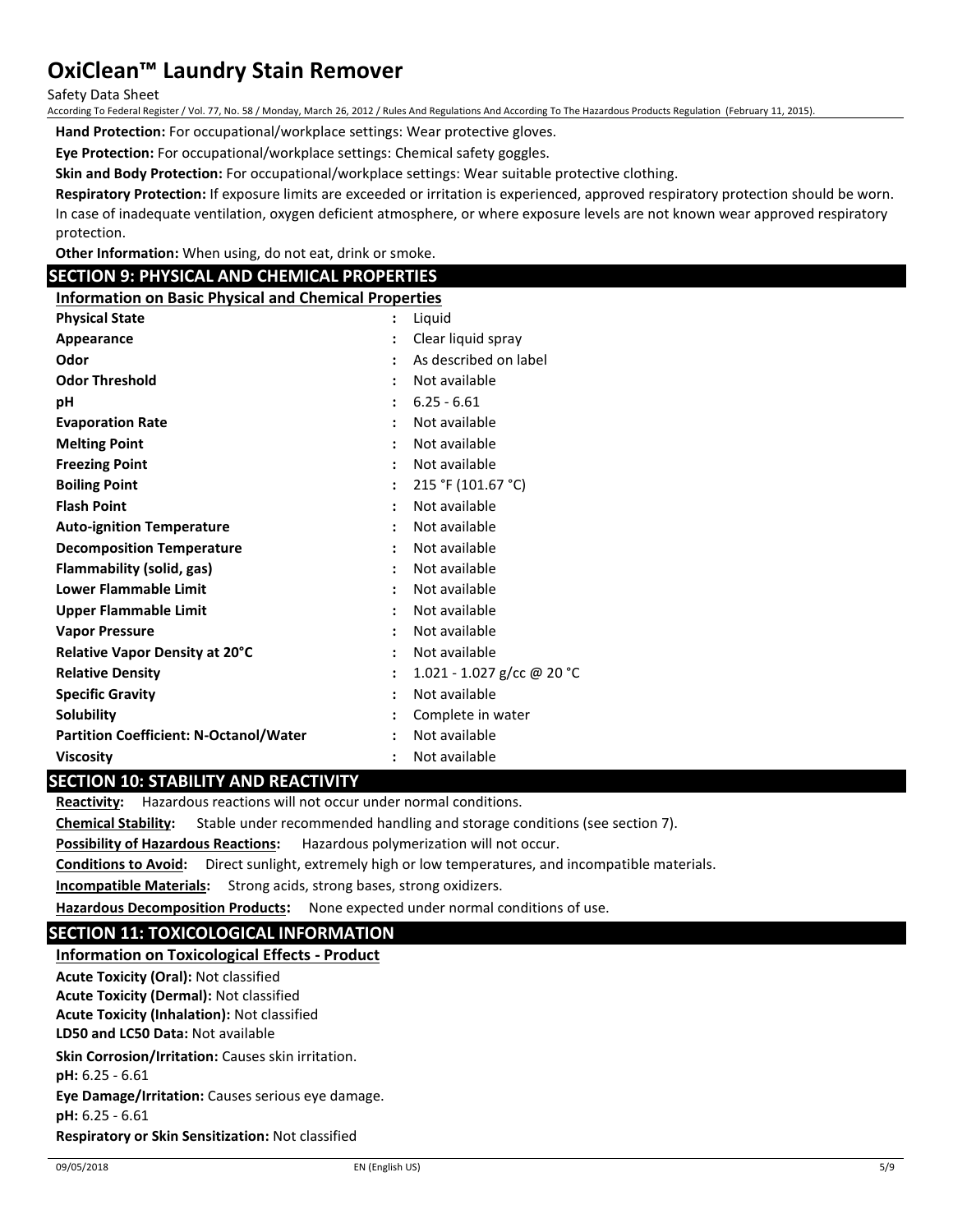Safety Data Sheet

According To Federal Register / Vol. 77, No. 58 / Monday, March 26, 2012 / Rules And Regulations And According To The Hazardous Products Regulation (February 11, 2015).

**Hand Protection:** For occupational/workplace settings: Wear protective gloves.

**Eye Protection:** For occupational/workplace settings: Chemical safety goggles.

**Skin and Body Protection:** For occupational/workplace settings: Wear suitable protective clothing.

**Respiratory Protection:** If exposure limits are exceeded or irritation is experienced, approved respiratory protection should be worn. In case of inadequate ventilation, oxygen deficient atmosphere, or where exposure levels are not known wear approved respiratory protection.

**Other Information:** When using, do not eat, drink or smoke.

### **SECTION 9: PHYSICAL AND CHEMICAL PROPERTIES**

**Information on Basic Physical and Chemical Properties**

| <b>Physical State</b>                         | Liquid<br>÷                           |
|-----------------------------------------------|---------------------------------------|
| Appearance                                    | Clear liquid spray                    |
| Odor                                          | As described on label                 |
| <b>Odor Threshold</b>                         | Not available                         |
| рH                                            | $6.25 - 6.61$                         |
| <b>Evaporation Rate</b>                       | Not available<br>$\ddot{\phantom{a}}$ |
| <b>Melting Point</b>                          | Not available                         |
| <b>Freezing Point</b>                         | Not available<br>$\ddot{\phantom{a}}$ |
| <b>Boiling Point</b>                          | 215 °F (101.67 °C)                    |
| <b>Flash Point</b>                            | Not available                         |
| <b>Auto-ignition Temperature</b>              | Not available                         |
| <b>Decomposition Temperature</b>              | Not available                         |
| Flammability (solid, gas)                     | Not available                         |
| Lower Flammable Limit                         | Not available                         |
| Upper Flammable Limit                         | Not available<br>$\ddot{\phantom{a}}$ |
| <b>Vapor Pressure</b>                         | Not available                         |
| Relative Vapor Density at 20°C                | Not available                         |
| <b>Relative Density</b>                       | 1.021 - 1.027 g/cc @ 20 °C            |
| <b>Specific Gravity</b>                       | Not available                         |
| <b>Solubility</b>                             | Complete in water                     |
| <b>Partition Coefficient: N-Octanol/Water</b> | Not available                         |
| <b>Viscosity</b>                              | Not available<br>$\ddot{\phantom{a}}$ |

### **SECTION 10: STABILITY AND REACTIVITY**

**Reactivity:** Hazardous reactions will not occur under normal conditions.

**Chemical Stability:** Stable under recommended handling and storage conditions (see section 7).

**Possibility of Hazardous Reactions:** Hazardous polymerization will not occur.

**Conditions to Avoid:** Direct sunlight, extremely high or low temperatures, and incompatible materials.

**Incompatible Materials:** Strong acids, strong bases, strong oxidizers.

**Hazardous Decomposition Products:** None expected under normal conditions of use.

## **SECTION 11: TOXICOLOGICAL INFORMATION**

**Information on Toxicological Effects - Product LD50 and LC50 Data:** Not available **Skin Corrosion/Irritation:** Causes skin irritation. **pH:** 6.25 - 6.61 **Eye Damage/Irritation:** Causes serious eye damage. **pH:** 6.25 - 6.61 **Respiratory or Skin Sensitization:** Not classified **Acute Toxicity (Oral):** Not classified **Acute Toxicity (Dermal):** Not classified **Acute Toxicity (Inhalation):** Not classified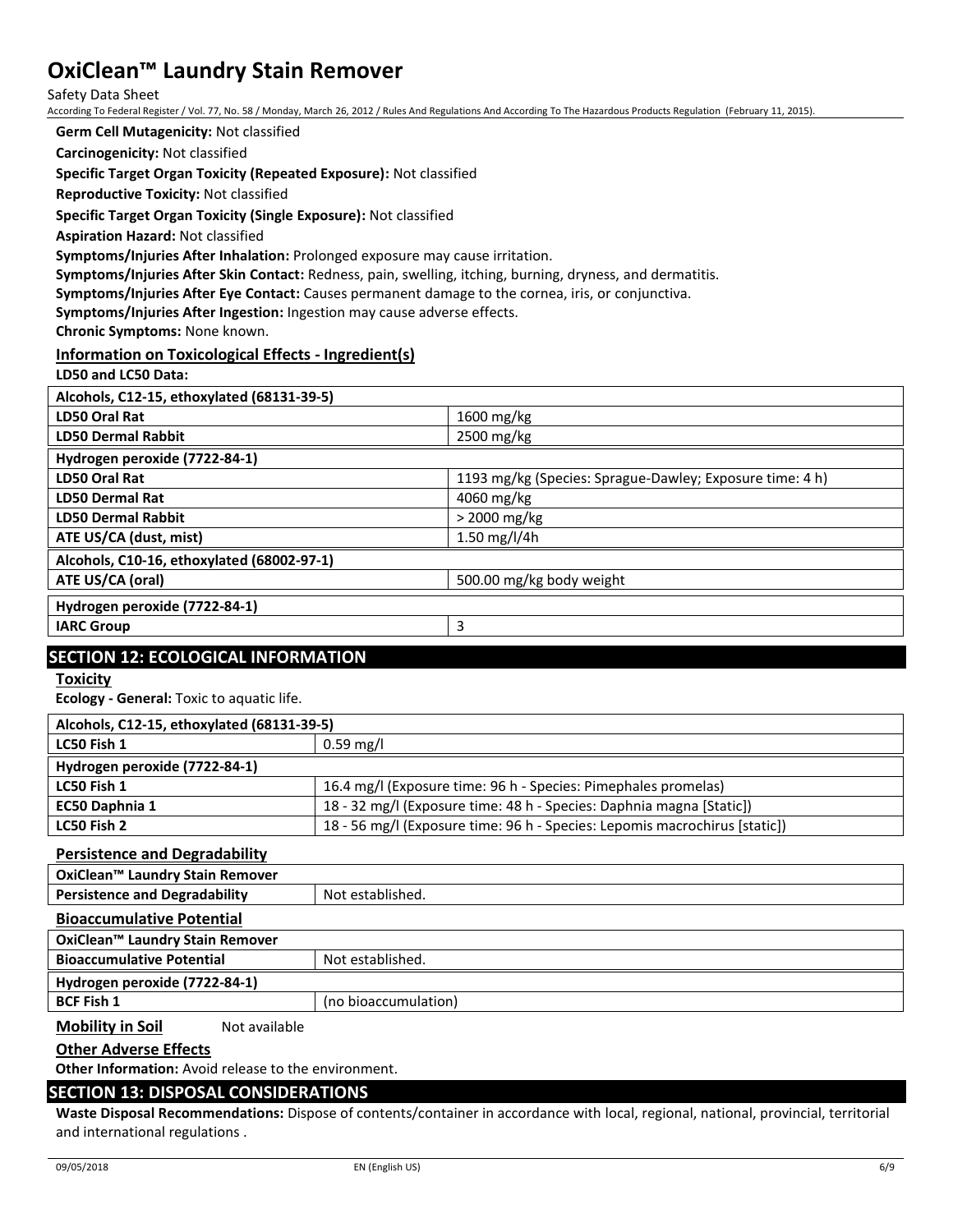Safety Data Sheet

According To Federal Register / Vol. 77, No. 58 / Monday, March 26, 2012 / Rules And Regulations And According To The Hazardous Products Regulation (February 11, 2015).

**Germ Cell Mutagenicity:** Not classified

**Carcinogenicity:** Not classified

**Specific Target Organ Toxicity (Repeated Exposure):** Not classified

**Reproductive Toxicity:** Not classified

**Specific Target Organ Toxicity (Single Exposure):** Not classified

**Aspiration Hazard:** Not classified

**Symptoms/Injuries After Inhalation:** Prolonged exposure may cause irritation.

**Symptoms/Injuries After Skin Contact:** Redness, pain, swelling, itching, burning, dryness, and dermatitis.

**Symptoms/Injuries After Eye Contact:** Causes permanent damage to the cornea, iris, or conjunctiva.

**Symptoms/Injuries After Ingestion:** Ingestion may cause adverse effects.

**Chronic Symptoms:** None known.

### **Information on Toxicological Effects - Ingredient(s)**

**LD50 and LC50 Data:**

| Alcohols, C12-15, ethoxylated (68131-39-5) |                                                          |
|--------------------------------------------|----------------------------------------------------------|
| LD50 Oral Rat                              | 1600 mg/kg                                               |
| <b>LD50 Dermal Rabbit</b>                  | $2500 \,\mathrm{mg/kg}$                                  |
| Hydrogen peroxide (7722-84-1)              |                                                          |
| LD50 Oral Rat                              | 1193 mg/kg (Species: Sprague-Dawley; Exposure time: 4 h) |
| <b>LD50 Dermal Rat</b>                     | 4060 mg/kg                                               |
| <b>LD50 Dermal Rabbit</b>                  | $>$ 2000 mg/kg                                           |
| ATE US/CA (dust, mist)                     | 1.50 mg/l/4h                                             |
| Alcohols, C10-16, ethoxylated (68002-97-1) |                                                          |
| ATE US/CA (oral)                           | 500.00 mg/kg body weight                                 |
| Hydrogen peroxide (7722-84-1)              |                                                          |
| <b>IARC Group</b>                          | 3                                                        |
|                                            |                                                          |

### **SECTION 12: ECOLOGICAL INFORMATION**

**Toxicity**

**Ecology - General:** Toxic to aquatic life.

| Alcohols, C12-15, ethoxylated (68131-39-5) |                                                                            |  |
|--------------------------------------------|----------------------------------------------------------------------------|--|
| LC50 Fish 1                                | $0.59 \text{ mg/l}$                                                        |  |
| Hydrogen peroxide (7722-84-1)              |                                                                            |  |
| LC50 Fish 1                                | 16.4 mg/l (Exposure time: 96 h - Species: Pimephales promelas)             |  |
| <b>EC50 Daphnia 1</b>                      | 18 - 32 mg/l (Exposure time: 48 h - Species: Daphnia magna [Static])       |  |
| LC50 Fish 2                                | 18 - 56 mg/l (Exposure time: 96 h - Species: Lepomis macrochirus [static]) |  |

### **Persistence and Degradability**

| OxiClean™ Laundry Stain Remover      |                      |
|--------------------------------------|----------------------|
| <b>Persistence and Degradability</b> | Not established.     |
| <b>Bioaccumulative Potential</b>     |                      |
| OxiClean™ Laundry Stain Remover      |                      |
| <b>Bioaccumulative Potential</b>     | Not established.     |
| Hydrogen peroxide (7722-84-1)        |                      |
| <b>BCF Fish 1</b>                    | (no bioaccumulation) |

**Mobility in Soil** Not available

**Other Adverse Effects**

**Other Information:** Avoid release to the environment.

## **SECTION 13: DISPOSAL CONSIDERATIONS**

**Waste Disposal Recommendations:** Dispose of contents/container in accordance with local, regional, national, provincial, territorial and international regulations .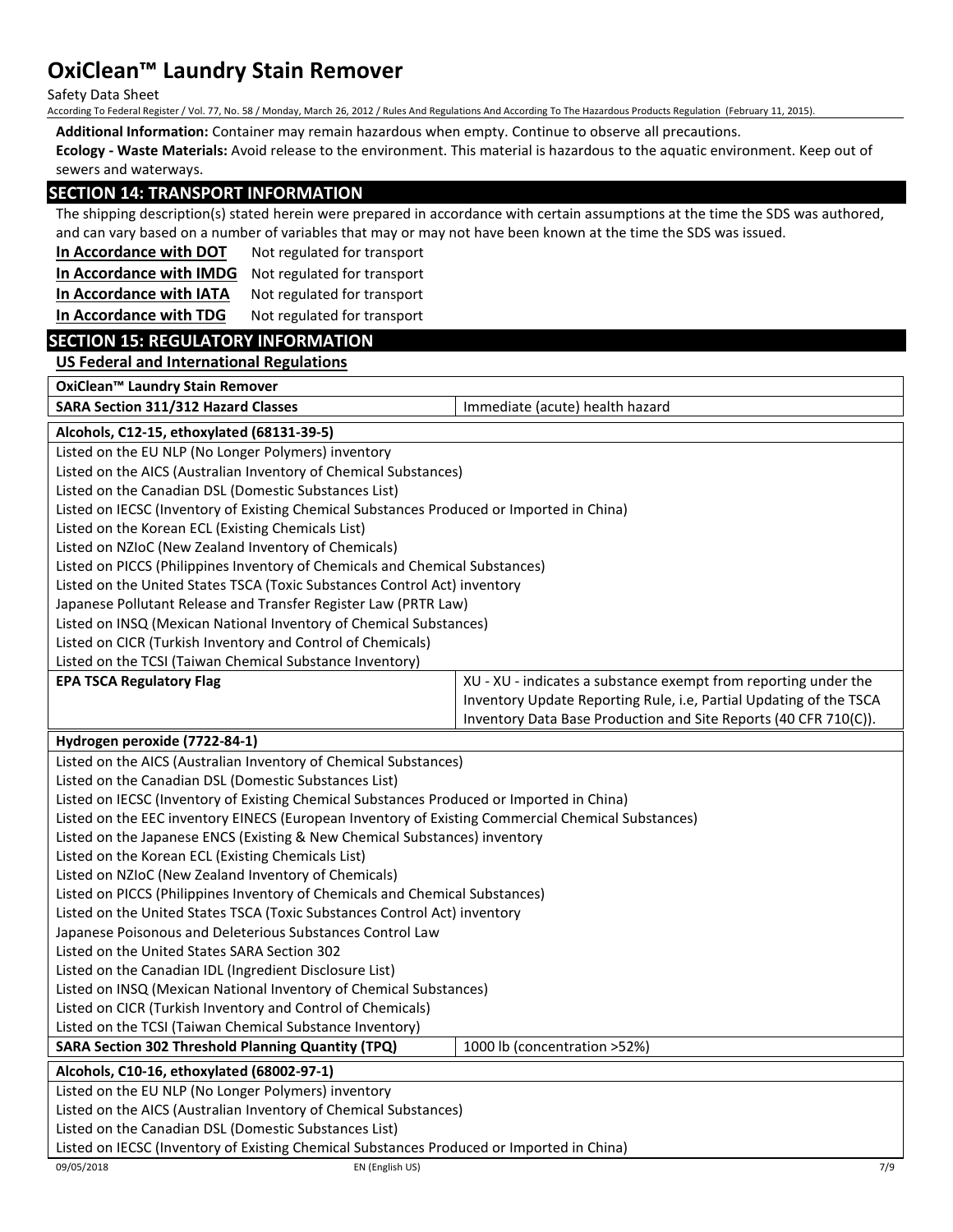Safety Data Sheet

According To Federal Register / Vol. 77, No. 58 / Monday, March 26, 2012 / Rules And Regulations And According To The Hazardous Products Regulation (February 11, 2015).

**Additional Information:** Container may remain hazardous when empty. Continue to observe all precautions.

**Ecology - Waste Materials:** Avoid release to the environment. This material is hazardous to the aquatic environment. Keep out of sewers and waterways.

### **SECTION 14: TRANSPORT INFORMATION**

The shipping description(s) stated herein were prepared in accordance with certain assumptions at the time the SDS was authored, and can vary based on a number of variables that may or may not have been known at the time the SDS was issued.

**In Accordance with DOT** Not regulated for transport

**In Accordance with IMDG** Not regulated for transport

**In Accordance with IATA** Not regulated for transport

**In Accordance with TDG** Not regulated for transport

### **SECTION 15: REGULATORY INFORMATION**

**US Federal and International Regulations**

| SARA Section 311/312 Hazard Classes<br>Immediate (acute) health hazard<br>Alcohols, C12-15, ethoxylated (68131-39-5)<br>Listed on the EU NLP (No Longer Polymers) inventory<br>Listed on the AICS (Australian Inventory of Chemical Substances)<br>Listed on the Canadian DSL (Domestic Substances List)<br>Listed on IECSC (Inventory of Existing Chemical Substances Produced or Imported in China)<br>Listed on the Korean ECL (Existing Chemicals List)<br>Listed on NZIoC (New Zealand Inventory of Chemicals)<br>Listed on PICCS (Philippines Inventory of Chemicals and Chemical Substances)<br>Listed on the United States TSCA (Toxic Substances Control Act) inventory<br>Japanese Pollutant Release and Transfer Register Law (PRTR Law)<br>Listed on INSQ (Mexican National Inventory of Chemical Substances)<br>Listed on CICR (Turkish Inventory and Control of Chemicals)<br>Listed on the TCSI (Taiwan Chemical Substance Inventory)<br><b>EPA TSCA Regulatory Flag</b><br>XU - XU - indicates a substance exempt from reporting under the<br>Inventory Update Reporting Rule, i.e, Partial Updating of the TSCA<br>Inventory Data Base Production and Site Reports (40 CFR 710(C)).<br>Hydrogen peroxide (7722-84-1)<br>Listed on the AICS (Australian Inventory of Chemical Substances)<br>Listed on the Canadian DSL (Domestic Substances List)<br>Listed on IECSC (Inventory of Existing Chemical Substances Produced or Imported in China)<br>Listed on the EEC inventory EINECS (European Inventory of Existing Commercial Chemical Substances)<br>Listed on the Japanese ENCS (Existing & New Chemical Substances) inventory<br>Listed on the Korean ECL (Existing Chemicals List)<br>Listed on NZIoC (New Zealand Inventory of Chemicals)<br>Listed on PICCS (Philippines Inventory of Chemicals and Chemical Substances)<br>Listed on the United States TSCA (Toxic Substances Control Act) inventory<br>Japanese Poisonous and Deleterious Substances Control Law | OxiClean™ Laundry Stain Remover |  |  |  |
|---------------------------------------------------------------------------------------------------------------------------------------------------------------------------------------------------------------------------------------------------------------------------------------------------------------------------------------------------------------------------------------------------------------------------------------------------------------------------------------------------------------------------------------------------------------------------------------------------------------------------------------------------------------------------------------------------------------------------------------------------------------------------------------------------------------------------------------------------------------------------------------------------------------------------------------------------------------------------------------------------------------------------------------------------------------------------------------------------------------------------------------------------------------------------------------------------------------------------------------------------------------------------------------------------------------------------------------------------------------------------------------------------------------------------------------------------------------------------------------------------------------------------------------------------------------------------------------------------------------------------------------------------------------------------------------------------------------------------------------------------------------------------------------------------------------------------------------------------------------------------------------------------------------------------------------------------------------------------------------------|---------------------------------|--|--|--|
|                                                                                                                                                                                                                                                                                                                                                                                                                                                                                                                                                                                                                                                                                                                                                                                                                                                                                                                                                                                                                                                                                                                                                                                                                                                                                                                                                                                                                                                                                                                                                                                                                                                                                                                                                                                                                                                                                                                                                                                             |                                 |  |  |  |
|                                                                                                                                                                                                                                                                                                                                                                                                                                                                                                                                                                                                                                                                                                                                                                                                                                                                                                                                                                                                                                                                                                                                                                                                                                                                                                                                                                                                                                                                                                                                                                                                                                                                                                                                                                                                                                                                                                                                                                                             |                                 |  |  |  |
|                                                                                                                                                                                                                                                                                                                                                                                                                                                                                                                                                                                                                                                                                                                                                                                                                                                                                                                                                                                                                                                                                                                                                                                                                                                                                                                                                                                                                                                                                                                                                                                                                                                                                                                                                                                                                                                                                                                                                                                             |                                 |  |  |  |
|                                                                                                                                                                                                                                                                                                                                                                                                                                                                                                                                                                                                                                                                                                                                                                                                                                                                                                                                                                                                                                                                                                                                                                                                                                                                                                                                                                                                                                                                                                                                                                                                                                                                                                                                                                                                                                                                                                                                                                                             |                                 |  |  |  |
|                                                                                                                                                                                                                                                                                                                                                                                                                                                                                                                                                                                                                                                                                                                                                                                                                                                                                                                                                                                                                                                                                                                                                                                                                                                                                                                                                                                                                                                                                                                                                                                                                                                                                                                                                                                                                                                                                                                                                                                             |                                 |  |  |  |
|                                                                                                                                                                                                                                                                                                                                                                                                                                                                                                                                                                                                                                                                                                                                                                                                                                                                                                                                                                                                                                                                                                                                                                                                                                                                                                                                                                                                                                                                                                                                                                                                                                                                                                                                                                                                                                                                                                                                                                                             |                                 |  |  |  |
|                                                                                                                                                                                                                                                                                                                                                                                                                                                                                                                                                                                                                                                                                                                                                                                                                                                                                                                                                                                                                                                                                                                                                                                                                                                                                                                                                                                                                                                                                                                                                                                                                                                                                                                                                                                                                                                                                                                                                                                             |                                 |  |  |  |
|                                                                                                                                                                                                                                                                                                                                                                                                                                                                                                                                                                                                                                                                                                                                                                                                                                                                                                                                                                                                                                                                                                                                                                                                                                                                                                                                                                                                                                                                                                                                                                                                                                                                                                                                                                                                                                                                                                                                                                                             |                                 |  |  |  |
|                                                                                                                                                                                                                                                                                                                                                                                                                                                                                                                                                                                                                                                                                                                                                                                                                                                                                                                                                                                                                                                                                                                                                                                                                                                                                                                                                                                                                                                                                                                                                                                                                                                                                                                                                                                                                                                                                                                                                                                             |                                 |  |  |  |
|                                                                                                                                                                                                                                                                                                                                                                                                                                                                                                                                                                                                                                                                                                                                                                                                                                                                                                                                                                                                                                                                                                                                                                                                                                                                                                                                                                                                                                                                                                                                                                                                                                                                                                                                                                                                                                                                                                                                                                                             |                                 |  |  |  |
|                                                                                                                                                                                                                                                                                                                                                                                                                                                                                                                                                                                                                                                                                                                                                                                                                                                                                                                                                                                                                                                                                                                                                                                                                                                                                                                                                                                                                                                                                                                                                                                                                                                                                                                                                                                                                                                                                                                                                                                             |                                 |  |  |  |
|                                                                                                                                                                                                                                                                                                                                                                                                                                                                                                                                                                                                                                                                                                                                                                                                                                                                                                                                                                                                                                                                                                                                                                                                                                                                                                                                                                                                                                                                                                                                                                                                                                                                                                                                                                                                                                                                                                                                                                                             |                                 |  |  |  |
|                                                                                                                                                                                                                                                                                                                                                                                                                                                                                                                                                                                                                                                                                                                                                                                                                                                                                                                                                                                                                                                                                                                                                                                                                                                                                                                                                                                                                                                                                                                                                                                                                                                                                                                                                                                                                                                                                                                                                                                             |                                 |  |  |  |
|                                                                                                                                                                                                                                                                                                                                                                                                                                                                                                                                                                                                                                                                                                                                                                                                                                                                                                                                                                                                                                                                                                                                                                                                                                                                                                                                                                                                                                                                                                                                                                                                                                                                                                                                                                                                                                                                                                                                                                                             |                                 |  |  |  |
|                                                                                                                                                                                                                                                                                                                                                                                                                                                                                                                                                                                                                                                                                                                                                                                                                                                                                                                                                                                                                                                                                                                                                                                                                                                                                                                                                                                                                                                                                                                                                                                                                                                                                                                                                                                                                                                                                                                                                                                             |                                 |  |  |  |
|                                                                                                                                                                                                                                                                                                                                                                                                                                                                                                                                                                                                                                                                                                                                                                                                                                                                                                                                                                                                                                                                                                                                                                                                                                                                                                                                                                                                                                                                                                                                                                                                                                                                                                                                                                                                                                                                                                                                                                                             |                                 |  |  |  |
|                                                                                                                                                                                                                                                                                                                                                                                                                                                                                                                                                                                                                                                                                                                                                                                                                                                                                                                                                                                                                                                                                                                                                                                                                                                                                                                                                                                                                                                                                                                                                                                                                                                                                                                                                                                                                                                                                                                                                                                             |                                 |  |  |  |
|                                                                                                                                                                                                                                                                                                                                                                                                                                                                                                                                                                                                                                                                                                                                                                                                                                                                                                                                                                                                                                                                                                                                                                                                                                                                                                                                                                                                                                                                                                                                                                                                                                                                                                                                                                                                                                                                                                                                                                                             |                                 |  |  |  |
|                                                                                                                                                                                                                                                                                                                                                                                                                                                                                                                                                                                                                                                                                                                                                                                                                                                                                                                                                                                                                                                                                                                                                                                                                                                                                                                                                                                                                                                                                                                                                                                                                                                                                                                                                                                                                                                                                                                                                                                             |                                 |  |  |  |
|                                                                                                                                                                                                                                                                                                                                                                                                                                                                                                                                                                                                                                                                                                                                                                                                                                                                                                                                                                                                                                                                                                                                                                                                                                                                                                                                                                                                                                                                                                                                                                                                                                                                                                                                                                                                                                                                                                                                                                                             |                                 |  |  |  |
|                                                                                                                                                                                                                                                                                                                                                                                                                                                                                                                                                                                                                                                                                                                                                                                                                                                                                                                                                                                                                                                                                                                                                                                                                                                                                                                                                                                                                                                                                                                                                                                                                                                                                                                                                                                                                                                                                                                                                                                             |                                 |  |  |  |
|                                                                                                                                                                                                                                                                                                                                                                                                                                                                                                                                                                                                                                                                                                                                                                                                                                                                                                                                                                                                                                                                                                                                                                                                                                                                                                                                                                                                                                                                                                                                                                                                                                                                                                                                                                                                                                                                                                                                                                                             |                                 |  |  |  |
|                                                                                                                                                                                                                                                                                                                                                                                                                                                                                                                                                                                                                                                                                                                                                                                                                                                                                                                                                                                                                                                                                                                                                                                                                                                                                                                                                                                                                                                                                                                                                                                                                                                                                                                                                                                                                                                                                                                                                                                             |                                 |  |  |  |
|                                                                                                                                                                                                                                                                                                                                                                                                                                                                                                                                                                                                                                                                                                                                                                                                                                                                                                                                                                                                                                                                                                                                                                                                                                                                                                                                                                                                                                                                                                                                                                                                                                                                                                                                                                                                                                                                                                                                                                                             |                                 |  |  |  |
|                                                                                                                                                                                                                                                                                                                                                                                                                                                                                                                                                                                                                                                                                                                                                                                                                                                                                                                                                                                                                                                                                                                                                                                                                                                                                                                                                                                                                                                                                                                                                                                                                                                                                                                                                                                                                                                                                                                                                                                             |                                 |  |  |  |
|                                                                                                                                                                                                                                                                                                                                                                                                                                                                                                                                                                                                                                                                                                                                                                                                                                                                                                                                                                                                                                                                                                                                                                                                                                                                                                                                                                                                                                                                                                                                                                                                                                                                                                                                                                                                                                                                                                                                                                                             |                                 |  |  |  |
|                                                                                                                                                                                                                                                                                                                                                                                                                                                                                                                                                                                                                                                                                                                                                                                                                                                                                                                                                                                                                                                                                                                                                                                                                                                                                                                                                                                                                                                                                                                                                                                                                                                                                                                                                                                                                                                                                                                                                                                             |                                 |  |  |  |
|                                                                                                                                                                                                                                                                                                                                                                                                                                                                                                                                                                                                                                                                                                                                                                                                                                                                                                                                                                                                                                                                                                                                                                                                                                                                                                                                                                                                                                                                                                                                                                                                                                                                                                                                                                                                                                                                                                                                                                                             |                                 |  |  |  |
| Listed on the United States SARA Section 302                                                                                                                                                                                                                                                                                                                                                                                                                                                                                                                                                                                                                                                                                                                                                                                                                                                                                                                                                                                                                                                                                                                                                                                                                                                                                                                                                                                                                                                                                                                                                                                                                                                                                                                                                                                                                                                                                                                                                |                                 |  |  |  |
| Listed on the Canadian IDL (Ingredient Disclosure List)                                                                                                                                                                                                                                                                                                                                                                                                                                                                                                                                                                                                                                                                                                                                                                                                                                                                                                                                                                                                                                                                                                                                                                                                                                                                                                                                                                                                                                                                                                                                                                                                                                                                                                                                                                                                                                                                                                                                     |                                 |  |  |  |
| Listed on INSQ (Mexican National Inventory of Chemical Substances)                                                                                                                                                                                                                                                                                                                                                                                                                                                                                                                                                                                                                                                                                                                                                                                                                                                                                                                                                                                                                                                                                                                                                                                                                                                                                                                                                                                                                                                                                                                                                                                                                                                                                                                                                                                                                                                                                                                          |                                 |  |  |  |
| Listed on CICR (Turkish Inventory and Control of Chemicals)                                                                                                                                                                                                                                                                                                                                                                                                                                                                                                                                                                                                                                                                                                                                                                                                                                                                                                                                                                                                                                                                                                                                                                                                                                                                                                                                                                                                                                                                                                                                                                                                                                                                                                                                                                                                                                                                                                                                 |                                 |  |  |  |
| Listed on the TCSI (Taiwan Chemical Substance Inventory)                                                                                                                                                                                                                                                                                                                                                                                                                                                                                                                                                                                                                                                                                                                                                                                                                                                                                                                                                                                                                                                                                                                                                                                                                                                                                                                                                                                                                                                                                                                                                                                                                                                                                                                                                                                                                                                                                                                                    |                                 |  |  |  |
| <b>SARA Section 302 Threshold Planning Quantity (TPQ)</b><br>1000 lb (concentration >52%)                                                                                                                                                                                                                                                                                                                                                                                                                                                                                                                                                                                                                                                                                                                                                                                                                                                                                                                                                                                                                                                                                                                                                                                                                                                                                                                                                                                                                                                                                                                                                                                                                                                                                                                                                                                                                                                                                                   |                                 |  |  |  |

**Alcohols, C10-16, ethoxylated (68002-97-1)**

Listed on the EU NLP (No Longer Polymers) inventory

Listed on the AICS (Australian Inventory of Chemical Substances)

Listed on the Canadian DSL (Domestic Substances List)

Listed on IECSC (Inventory of Existing Chemical Substances Produced or Imported in China)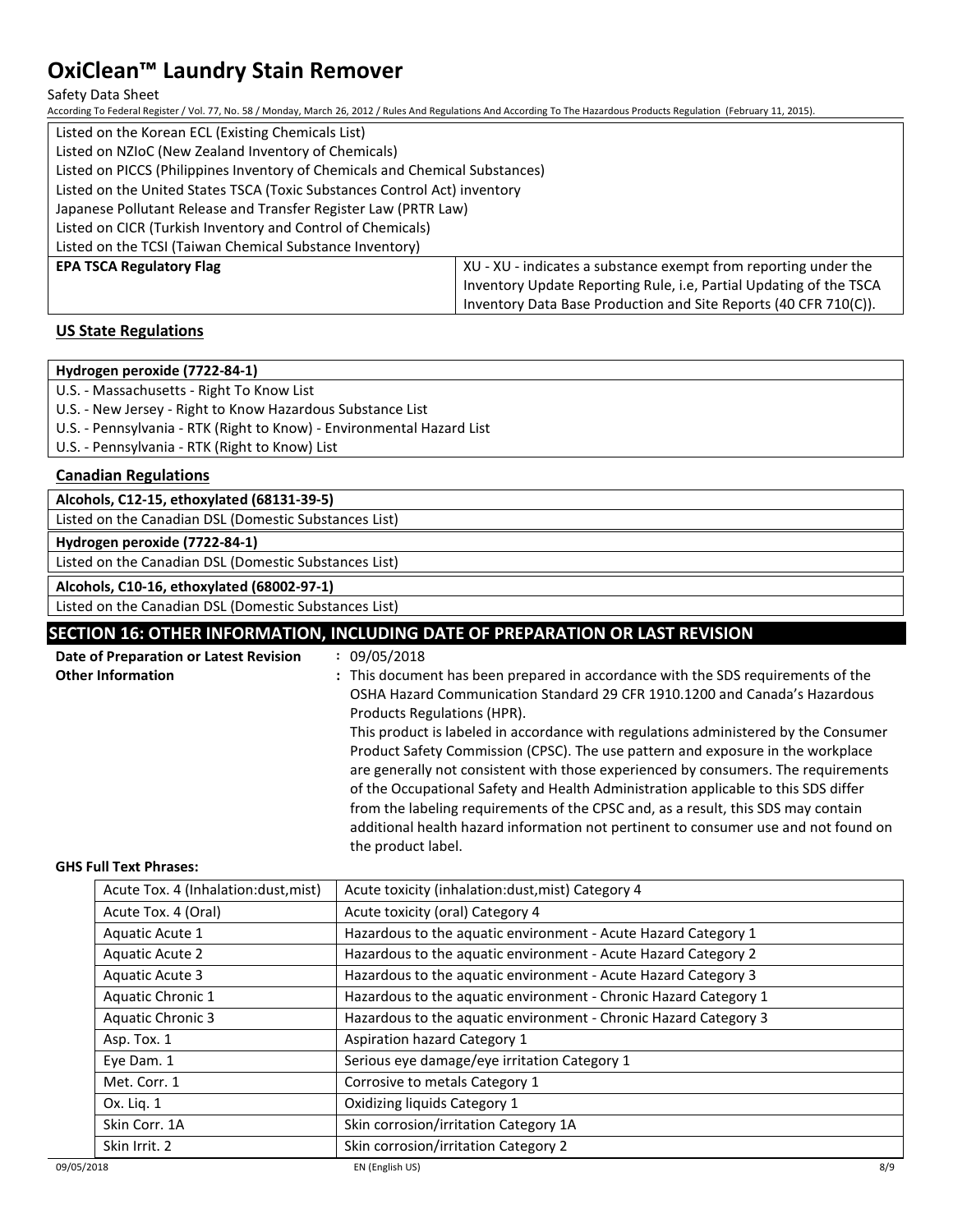#### Safety Data Sheet

According To Federal Register / Vol. 77, No. 58 / Monday, March 26, 2012 / Rules And Regulations And According To The Hazardous Products Regulation (February 11, 2015).

| Listed on the Korean ECL (Existing Chemicals List)                           |                                                                    |  |  |
|------------------------------------------------------------------------------|--------------------------------------------------------------------|--|--|
| Listed on NZIoC (New Zealand Inventory of Chemicals)                         |                                                                    |  |  |
| Listed on PICCS (Philippines Inventory of Chemicals and Chemical Substances) |                                                                    |  |  |
| Listed on the United States TSCA (Toxic Substances Control Act) inventory    |                                                                    |  |  |
| Japanese Pollutant Release and Transfer Register Law (PRTR Law)              |                                                                    |  |  |
| Listed on CICR (Turkish Inventory and Control of Chemicals)                  |                                                                    |  |  |
| Listed on the TCSI (Taiwan Chemical Substance Inventory)                     |                                                                    |  |  |
| <b>EPA TSCA Regulatory Flag</b>                                              | XU - XU - indicates a substance exempt from reporting under the    |  |  |
|                                                                              | Inventory Update Reporting Rule, i.e. Partial Updating of the TSCA |  |  |
|                                                                              | Inventory Data Base Production and Site Reports (40 CFR 710(C)).   |  |  |

## **US State Regulations**

#### **Hydrogen peroxide (7722-84-1)**

U.S. - Massachusetts - Right To Know List

U.S. - New Jersey - Right to Know Hazardous Substance List

U.S. - Pennsylvania - RTK (Right to Know) - Environmental Hazard List

U.S. - Pennsylvania - RTK (Right to Know) List

## **Canadian Regulations**

**Alcohols, C12-15, ethoxylated (68131-39-5)**

Listed on the Canadian DSL (Domestic Substances List)

**Hydrogen peroxide (7722-84-1)**

Listed on the Canadian DSL (Domestic Substances List)

**Alcohols, C10-16, ethoxylated (68002-97-1)**

Listed on the Canadian DSL (Domestic Substances List)

## **SECTION 16: OTHER INFORMATION, INCLUDING DATE OF PREPARATION OR LAST REVISION**

| Date of Preparation or Latest Revision | : 09/05/2018                                                                        |
|----------------------------------------|-------------------------------------------------------------------------------------|
| <b>Other Information</b>               | : This document has been prepared in accordance with the SDS requirements of the    |
|                                        | OSHA Hazard Communication Standard 29 CFR 1910.1200 and Canada's Hazardous          |
|                                        | Products Regulations (HPR).                                                         |
|                                        | This product is labeled in accordance with regulations administered by the Consumer |
|                                        | Product Safety Commission (CPSC). The use pattern and exposure in the workplace     |
|                                        | are generally not consistent with those experienced by consumers. The requirements  |
|                                        | of the Occupational Safety and Health Administration applicable to this SDS differ  |
|                                        | from the labeling requirements of the CPSC and, as a result, this SDS may contain   |
|                                        | additional health hazard information not pertinent to consumer use and not found on |
|                                        | the product label.                                                                  |

### **GHS Full Text Phrases:**

| Acute Tox. 4 (Inhalation:dust, mist) | Acute toxicity (inhalation:dust, mist) Category 4                |
|--------------------------------------|------------------------------------------------------------------|
| Acute Tox. 4 (Oral)                  | Acute toxicity (oral) Category 4                                 |
| Aquatic Acute 1                      | Hazardous to the aquatic environment - Acute Hazard Category 1   |
| Aquatic Acute 2                      | Hazardous to the aquatic environment - Acute Hazard Category 2   |
| Aquatic Acute 3                      | Hazardous to the aquatic environment - Acute Hazard Category 3   |
| Aquatic Chronic 1                    | Hazardous to the aquatic environment - Chronic Hazard Category 1 |
| <b>Aquatic Chronic 3</b>             | Hazardous to the aquatic environment - Chronic Hazard Category 3 |
| Asp. Tox. 1                          | Aspiration hazard Category 1                                     |
| Eye Dam. 1                           | Serious eye damage/eye irritation Category 1                     |
| Met. Corr. 1                         | Corrosive to metals Category 1                                   |
| Ox. Lig. 1                           | Oxidizing liquids Category 1                                     |
| Skin Corr. 1A                        | Skin corrosion/irritation Category 1A                            |
| Skin Irrit. 2                        | Skin corrosion/irritation Category 2                             |